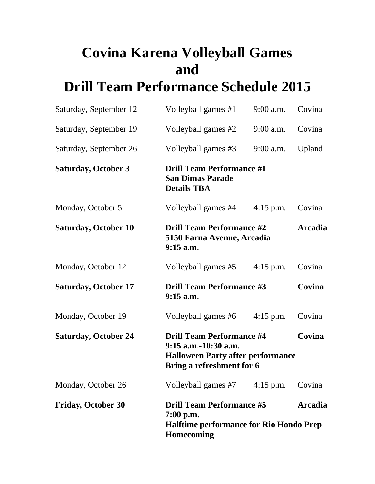## **Covina Karena Volleyball Games and Drill Team Performance Schedule 2015**

| Saturday, September 12      | Volleyball games #1                                                                                                                         | $9:00$ a.m. | Covina |
|-----------------------------|---------------------------------------------------------------------------------------------------------------------------------------------|-------------|--------|
| Saturday, September 19      | Volleyball games #2                                                                                                                         | $9:00$ a.m. | Covina |
| Saturday, September 26      | Volleyball games #3                                                                                                                         | $9:00$ a.m. | Upland |
| <b>Saturday, October 3</b>  | <b>Drill Team Performance #1</b><br><b>San Dimas Parade</b><br><b>Details TBA</b>                                                           |             |        |
| Monday, October 5           | Volleyball games #4                                                                                                                         | $4:15$ p.m. | Covina |
| <b>Saturday, October 10</b> | <b>Drill Team Performance #2</b><br><b>Arcadia</b><br>5150 Farna Avenue, Arcadia<br>$9:15$ a.m.                                             |             |        |
| Monday, October 12          | Volleyball games #5                                                                                                                         | $4:15$ p.m. | Covina |
| <b>Saturday, October 17</b> | <b>Drill Team Performance #3</b><br>Covina<br>$9:15$ a.m.                                                                                   |             |        |
| Monday, October 19          | Volleyball games #6                                                                                                                         | $4:15$ p.m. | Covina |
| <b>Saturday, October 24</b> | <b>Drill Team Performance #4</b><br>Covina<br>9:15 a.m.-10:30 a.m.<br><b>Halloween Party after performance</b><br>Bring a refreshment for 6 |             |        |
| Monday, October 26          | Volleyball games $#7$ 4:15 p.m.                                                                                                             |             | Covina |
| <b>Friday, October 30</b>   | <b>Drill Team Performance #5</b><br>$7:00$ p.m.<br><b>Halftime performance for Rio Hondo Prep</b><br><b>Homecoming</b>                      | Arcadia     |        |